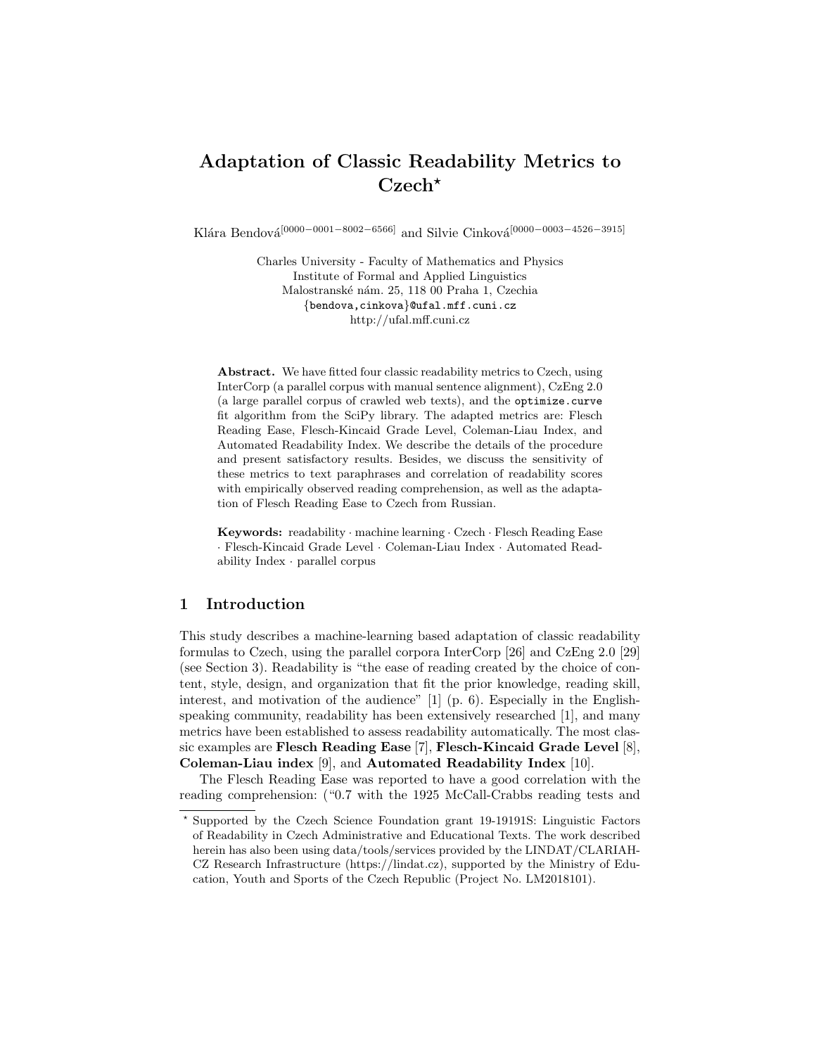# Adaptation of Classic Readability Metrics to  $Czech^{\star}$

Klára Bendová<sup>[0000–0001–8002–6566]</sup> and Silvie Cinková<sup>[0000–0003–4526–3915]</sup>

Charles University - Faculty of Mathematics and Physics Institute of Formal and Applied Linguistics Malostranské nám. 25, 118 00 Praha 1, Czechia {bendova,cinkova}@ufal.mff.cuni.cz http://ufal.mff.cuni.cz

Abstract. We have fitted four classic readability metrics to Czech, using InterCorp (a parallel corpus with manual sentence alignment), CzEng 2.0 (a large parallel corpus of crawled web texts), and the optimize.curve fit algorithm from the SciPy library. The adapted metrics are: Flesch Reading Ease, Flesch-Kincaid Grade Level, Coleman-Liau Index, and Automated Readability Index. We describe the details of the procedure and present satisfactory results. Besides, we discuss the sensitivity of these metrics to text paraphrases and correlation of readability scores with empirically observed reading comprehension, as well as the adaptation of Flesch Reading Ease to Czech from Russian.

Keywords: readability · machine learning · Czech · Flesch Reading Ease · Flesch-Kincaid Grade Level · Coleman-Liau Index · Automated Readability Index · parallel corpus

## 1 Introduction

This study describes a machine-learning based adaptation of classic readability formulas to Czech, using the parallel corpora InterCorp [26] and CzEng 2.0 [29] (see Section 3). Readability is "the ease of reading created by the choice of content, style, design, and organization that fit the prior knowledge, reading skill, interest, and motivation of the audience"  $[1]$  (p. 6). Especially in the Englishspeaking community, readability has been extensively researched [1], and many metrics have been established to assess readability automatically. The most classic examples are Flesch Reading Ease [7], Flesch-Kincaid Grade Level [8], Coleman-Liau index [9], and Automated Readability Index [10].

The Flesch Reading Ease was reported to have a good correlation with the reading comprehension: ("0.7 with the 1925 McCall-Crabbs reading tests and

<sup>?</sup> Supported by the Czech Science Foundation grant 19-19191S: Linguistic Factors of Readability in Czech Administrative and Educational Texts. The work described herein has also been using data/tools/services provided by the LINDAT/CLARIAH-CZ Research Infrastructure (https://lindat.cz), supported by the Ministry of Education, Youth and Sports of the Czech Republic (Project No. LM2018101).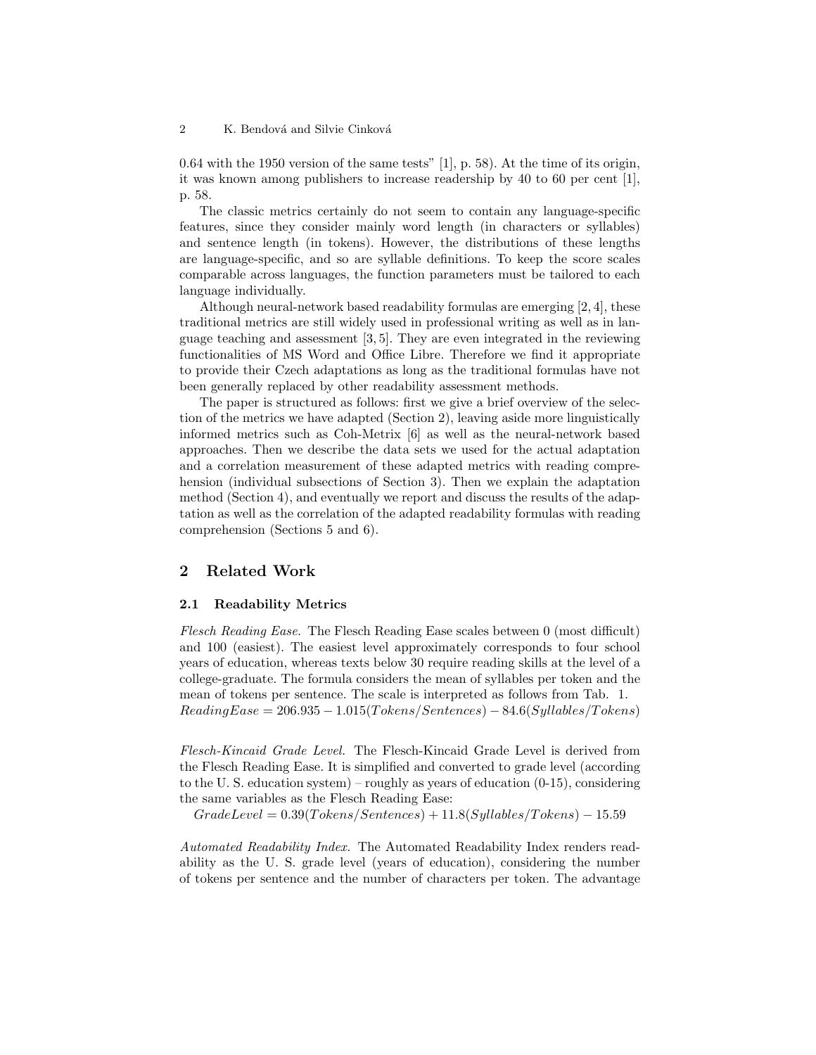0.64 with the 1950 version of the same tests" [1], p. 58). At the time of its origin, it was known among publishers to increase readership by 40 to 60 per cent [1], p. 58.

The classic metrics certainly do not seem to contain any language-specific features, since they consider mainly word length (in characters or syllables) and sentence length (in tokens). However, the distributions of these lengths are language-specific, and so are syllable definitions. To keep the score scales comparable across languages, the function parameters must be tailored to each language individually.

Although neural-network based readability formulas are emerging [2, 4], these traditional metrics are still widely used in professional writing as well as in language teaching and assessment [3, 5]. They are even integrated in the reviewing functionalities of MS Word and Office Libre. Therefore we find it appropriate to provide their Czech adaptations as long as the traditional formulas have not been generally replaced by other readability assessment methods.

The paper is structured as follows: first we give a brief overview of the selection of the metrics we have adapted (Section 2), leaving aside more linguistically informed metrics such as Coh-Metrix [6] as well as the neural-network based approaches. Then we describe the data sets we used for the actual adaptation and a correlation measurement of these adapted metrics with reading comprehension (individual subsections of Section 3). Then we explain the adaptation method (Section 4), and eventually we report and discuss the results of the adaptation as well as the correlation of the adapted readability formulas with reading comprehension (Sections 5 and 6).

# 2 Related Work

#### 2.1 Readability Metrics

Flesch Reading Ease. The Flesch Reading Ease scales between 0 (most difficult) and 100 (easiest). The easiest level approximately corresponds to four school years of education, whereas texts below 30 require reading skills at the level of a college-graduate. The formula considers the mean of syllables per token and the mean of tokens per sentence. The scale is interpreted as follows from Tab. 1.  $ReadingEase = 206.935 - 1.015(Tokens/Sentences) - 84.6(Syllables/Tokens)$ 

Flesch-Kincaid Grade Level. The Flesch-Kincaid Grade Level is derived from the Flesch Reading Ease. It is simplified and converted to grade level (according to the U. S. education system) – roughly as years of education (0-15), considering the same variables as the Flesch Reading Ease:

 $GradeLevel = 0.39(Tokens/Sentences) + 11.8(Syllables/Tokens) - 15.59$ 

Automated Readability Index. The Automated Readability Index renders readability as the U. S. grade level (years of education), considering the number of tokens per sentence and the number of characters per token. The advantage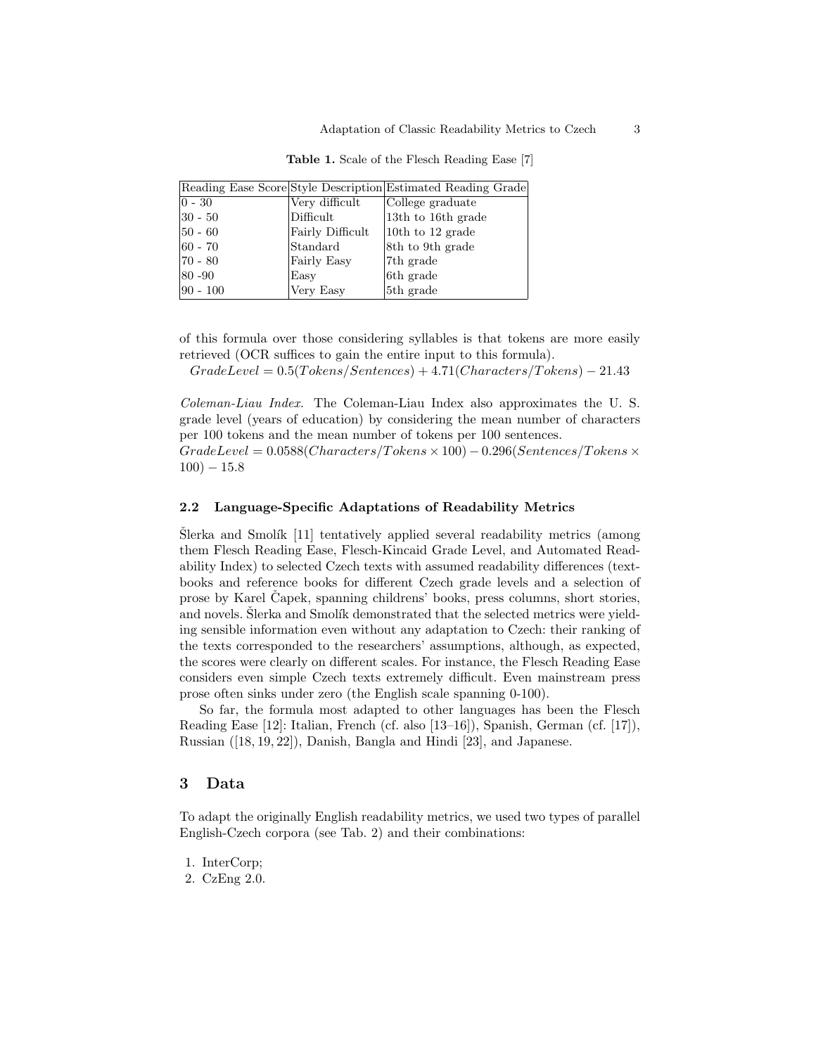|             |                                  | Reading Ease Score Style Description Estimated Reading Grade |
|-------------|----------------------------------|--------------------------------------------------------------|
| $ 0 - 30 $  | Very difficult                   | College graduate                                             |
| $ 30 - 50 $ | Difficult                        | 13th to 16th grade                                           |
| $ 50 - 60 $ | Fairly Difficult                 | 10th to 12 grade                                             |
| $ 60 - 70$  | $\left \mathrm{Standard}\right $ | 8th to 9th grade                                             |
| $ 70 - 80$  | Fairly Easy                      | 7 <sup>th</sup> grade                                        |
| $ 80 - 90 $ | Easy                             | 6th grade                                                    |
| $ 90 - 100$ | Very Easy                        | 5th grade                                                    |
|             |                                  |                                                              |

Table 1. Scale of the Flesch Reading Ease [7]

of this formula over those considering syllables is that tokens are more easily retrieved (OCR suffices to gain the entire input to this formula).

 $GradeLevel = 0.5(Tokens/Sentences) + 4.71(Charles/Tokens) - 21.43$ 

Coleman-Liau Index. The Coleman-Liau Index also approximates the U. S. grade level (years of education) by considering the mean number of characters per 100 tokens and the mean number of tokens per 100 sentences.

 $GradeLevel = 0.0588 (Characters/Tokens \times 100) - 0.296 (Sentences/Tokens \times 100)$  $100$ )  $- 15.8$ 

### 2.2 Language-Specific Adaptations of Readability Metrics

 $\text{Šlerka}$  and Smolík [11] tentatively applied several readability metrics (among them Flesch Reading Ease, Flesch-Kincaid Grade Level, and Automated Readability Index) to selected Czech texts with assumed readability differences (textbooks and reference books for different Czech grade levels and a selection of prose by Karel Capek, spanning childrens' books, press columns, short stories, and novels. Slerka and Smolík demonstrated that the selected metrics were yielding sensible information even without any adaptation to Czech: their ranking of the texts corresponded to the researchers' assumptions, although, as expected, the scores were clearly on different scales. For instance, the Flesch Reading Ease considers even simple Czech texts extremely difficult. Even mainstream press prose often sinks under zero (the English scale spanning 0-100).

So far, the formula most adapted to other languages has been the Flesch Reading Ease [12]: Italian, French (cf. also [13–16]), Spanish, German (cf. [17]), Russian ([18, 19, 22]), Danish, Bangla and Hindi [23], and Japanese.

## 3 Data

To adapt the originally English readability metrics, we used two types of parallel English-Czech corpora (see Tab. 2) and their combinations:

- 1. InterCorp;
- 2. CzEng 2.0.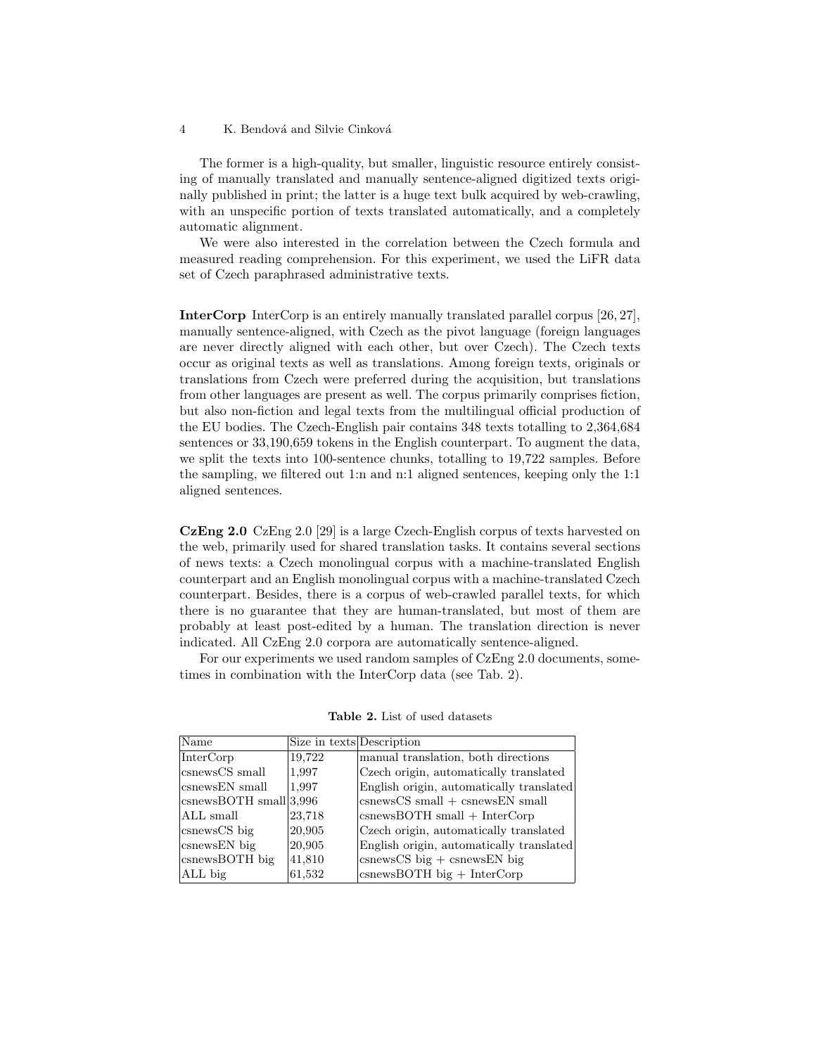The former is a high-quality, but smaller, linguistic resource entirely consisting of manually translated and manually sentence-aligned digitized texts originally published in print; the latter is a huge text bulk acquired by web-crawling, with an unspecific portion of texts translated automatically, and a completely automatic alignment.

We were also interested in the correlation between the Czech formula and measured reading comprehension. For this experiment, we used the LiFR data set of Czech paraphrased administrative texts.

InterCorp InterCorp is an entirely manually translated parallel corpus [26, 27], manually sentence-aligned, with Czech as the pivot language (foreign languages are never directly aligned with each other, but over Czech). The Czech texts occur as original texts as well as translations. Among foreign texts, originals or translations from Czech were preferred during the acquisition, but translations from other languages are present as well. The corpus primarily comprises fiction, but also non-fiction and legal texts from the multilingual official production of the EU bodies. The Czech-English pair contains 348 texts totalling to 2,364,684 sentences or 33,190,659 tokens in the English counterpart. To augment the data, we split the texts into 100-sentence chunks, totalling to 19,722 samples. Before the sampling, we filtered out 1:n and n:1 aligned sentences, keeping only the 1:1 aligned sentences.

CzEng 2.0 CzEng 2.0 [29] is a large Czech-English corpus of texts harvested on the web, primarily used for shared translation tasks. It contains several sections of news texts: a Czech monolingual corpus with a machine-translated English counterpart and an English monolingual corpus with a machine-translated Czech counterpart. Besides, there is a corpus of web-crawled parallel texts, for which there is no guarantee that they are human-translated, but most of them are probably at least post-edited by a human. The translation direction is never indicated. All CzEng 2.0 corpora are automatically sentence-aligned.

For our experiments we used random samples of CzEng 2.0 documents, sometimes in combination with the InterCorp data (see Tab. 2).

| Name                         | Size in texts Description |                                                          |
|------------------------------|---------------------------|----------------------------------------------------------|
| InterCorp                    | 19,722                    | manual translation, both directions                      |
| csnewsCS small               | 1,997                     | Czech origin, automatically translated                   |
| csnewsEN small               | 1,997                     | English origin, automatically translated                 |
| $c$ snewsBOTH small $ 3,996$ |                           | $ {\rm csnewsCS \ small} + {\rm csnewsEN \ small}$       |
| $ ALL \text{ small}$         | 23,718                    | $ {\rm csnews}$ BOTH small + InterCorp                   |
| csnewsCS big                 | 20,905                    | Czech origin, automatically translated                   |
| csnews EN big                | 20,905                    | English origin, automatically translated                 |
| $c$ snews $BOTH$ big         | 41,810                    | $\cos\cos\cos\theta$ is $\sin\cos\theta$ is $\sin\theta$ |
| ALL big                      | 61,532                    | $\cos\theta$ CSDCTH big + InterCorp                      |

Table 2. List of used datasets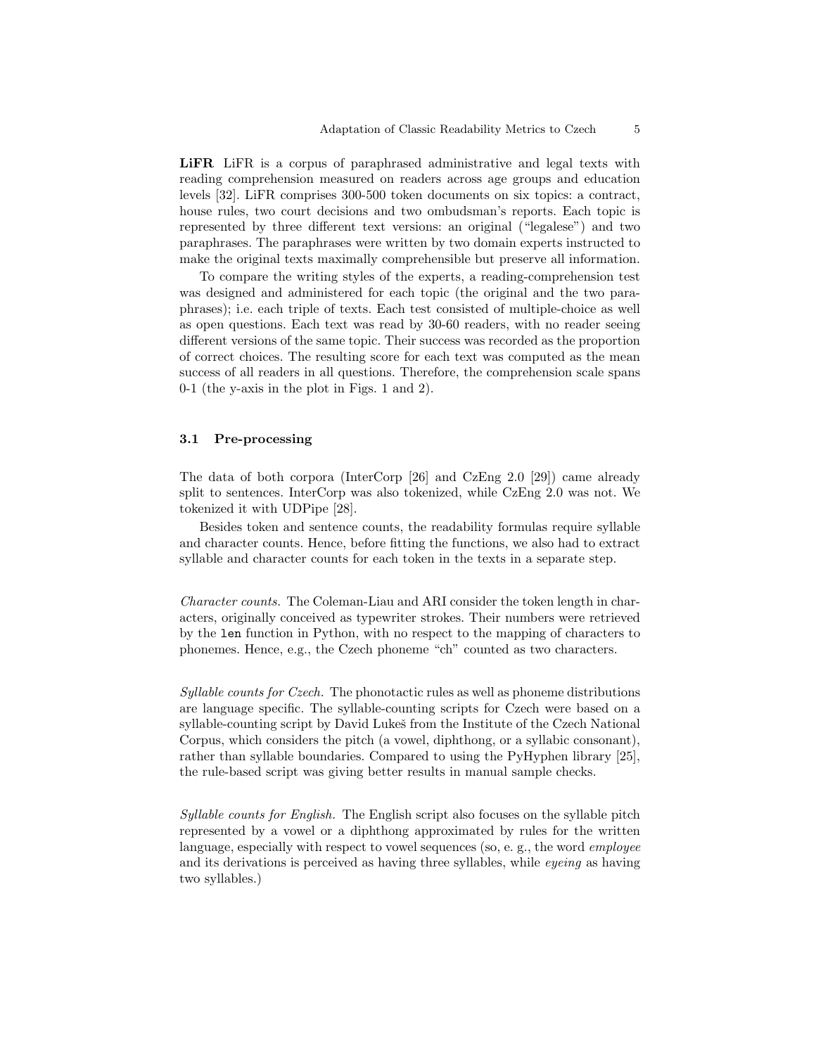LIFR LIFR is a corpus of paraphrased administrative and legal texts with reading comprehension measured on readers across age groups and education levels [32]. LiFR comprises 300-500 token documents on six topics: a contract, house rules, two court decisions and two ombudsman's reports. Each topic is represented by three different text versions: an original ("legalese") and two paraphrases. The paraphrases were written by two domain experts instructed to make the original texts maximally comprehensible but preserve all information.

To compare the writing styles of the experts, a reading-comprehension test was designed and administered for each topic (the original and the two paraphrases); i.e. each triple of texts. Each test consisted of multiple-choice as well as open questions. Each text was read by 30-60 readers, with no reader seeing different versions of the same topic. Their success was recorded as the proportion of correct choices. The resulting score for each text was computed as the mean success of all readers in all questions. Therefore, the comprehension scale spans 0-1 (the y-axis in the plot in Figs. 1 and 2).

## 3.1 Pre-processing

The data of both corpora (InterCorp [26] and CzEng 2.0 [29]) came already split to sentences. InterCorp was also tokenized, while CzEng 2.0 was not. We tokenized it with UDPipe [28].

Besides token and sentence counts, the readability formulas require syllable and character counts. Hence, before fitting the functions, we also had to extract syllable and character counts for each token in the texts in a separate step.

Character counts. The Coleman-Liau and ARI consider the token length in characters, originally conceived as typewriter strokes. Their numbers were retrieved by the len function in Python, with no respect to the mapping of characters to phonemes. Hence, e.g., the Czech phoneme "ch" counted as two characters.

Syllable counts for Czech. The phonotactic rules as well as phoneme distributions are language specific. The syllable-counting scripts for Czech were based on a syllable-counting script by David Lukes from the Institute of the Czech National Corpus, which considers the pitch (a vowel, diphthong, or a syllabic consonant), rather than syllable boundaries. Compared to using the PyHyphen library [25], the rule-based script was giving better results in manual sample checks.

Syllable counts for English. The English script also focuses on the syllable pitch represented by a vowel or a diphthong approximated by rules for the written language, especially with respect to vowel sequences (so, e. g., the word employee and its derivations is perceived as having three syllables, while eyeing as having two syllables.)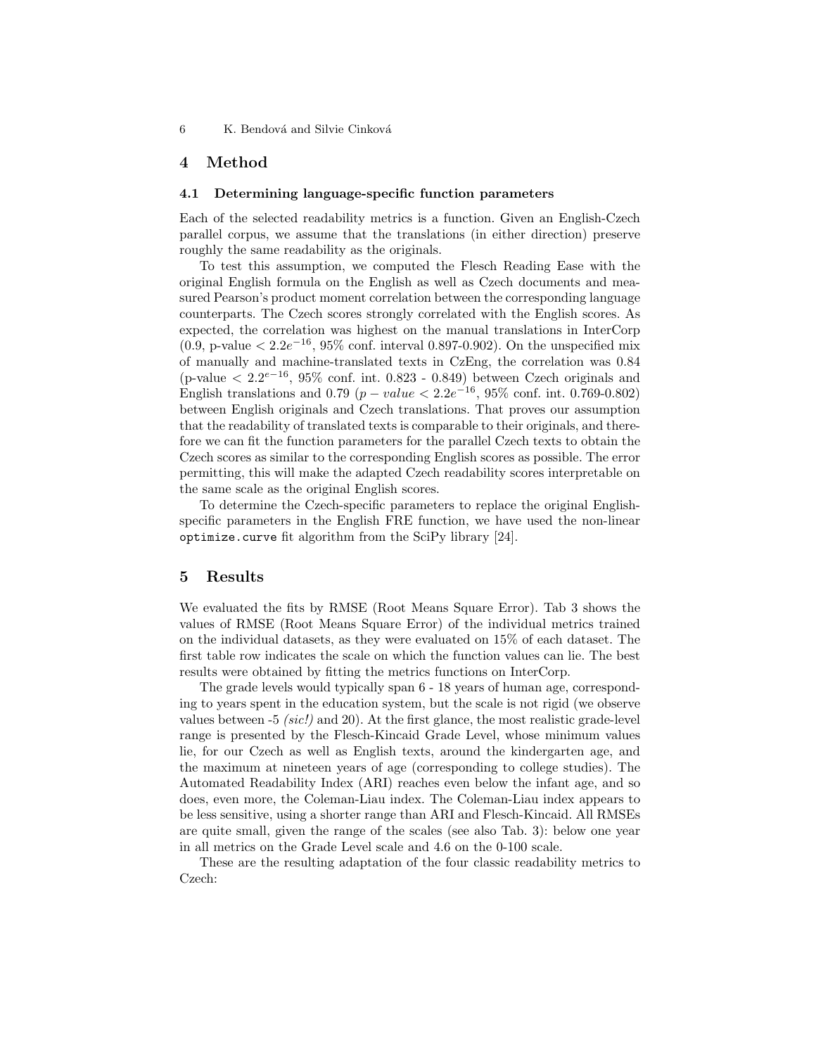# 4 Method

#### 4.1 Determining language-specific function parameters

Each of the selected readability metrics is a function. Given an English-Czech parallel corpus, we assume that the translations (in either direction) preserve roughly the same readability as the originals.

To test this assumption, we computed the Flesch Reading Ease with the original English formula on the English as well as Czech documents and measured Pearson's product moment correlation between the corresponding language counterparts. The Czech scores strongly correlated with the English scores. As expected, the correlation was highest on the manual translations in InterCorp  $(0.9, p-value < 2.2e^{-16}, 95\%$  conf. interval 0.897-0.902). On the unspecified mix of manually and machine-translated texts in CzEng, the correlation was 0.84 (p-value  $\langle 2.2^{e-16}, 95\% \text{ conf. int. } 0.823 - 0.849 \rangle$  between Czech originals and English translations and 0.79 ( $p-value < 2.2e^{-16}$ , 95% conf. int. 0.769-0.802) between English originals and Czech translations. That proves our assumption that the readability of translated texts is comparable to their originals, and therefore we can fit the function parameters for the parallel Czech texts to obtain the Czech scores as similar to the corresponding English scores as possible. The error permitting, this will make the adapted Czech readability scores interpretable on the same scale as the original English scores.

To determine the Czech-specific parameters to replace the original Englishspecific parameters in the English FRE function, we have used the non-linear optimize.curve fit algorithm from the SciPy library [24].

## 5 Results

We evaluated the fits by RMSE (Root Means Square Error). Tab 3 shows the values of RMSE (Root Means Square Error) of the individual metrics trained on the individual datasets, as they were evaluated on 15% of each dataset. The first table row indicates the scale on which the function values can lie. The best results were obtained by fitting the metrics functions on InterCorp.

The grade levels would typically span 6 - 18 years of human age, corresponding to years spent in the education system, but the scale is not rigid (we observe values between  $-5$  (sic!) and 20). At the first glance, the most realistic grade-level range is presented by the Flesch-Kincaid Grade Level, whose minimum values lie, for our Czech as well as English texts, around the kindergarten age, and the maximum at nineteen years of age (corresponding to college studies). The Automated Readability Index (ARI) reaches even below the infant age, and so does, even more, the Coleman-Liau index. The Coleman-Liau index appears to be less sensitive, using a shorter range than ARI and Flesch-Kincaid. All RMSEs are quite small, given the range of the scales (see also Tab. 3): below one year in all metrics on the Grade Level scale and 4.6 on the 0-100 scale.

These are the resulting adaptation of the four classic readability metrics to Czech: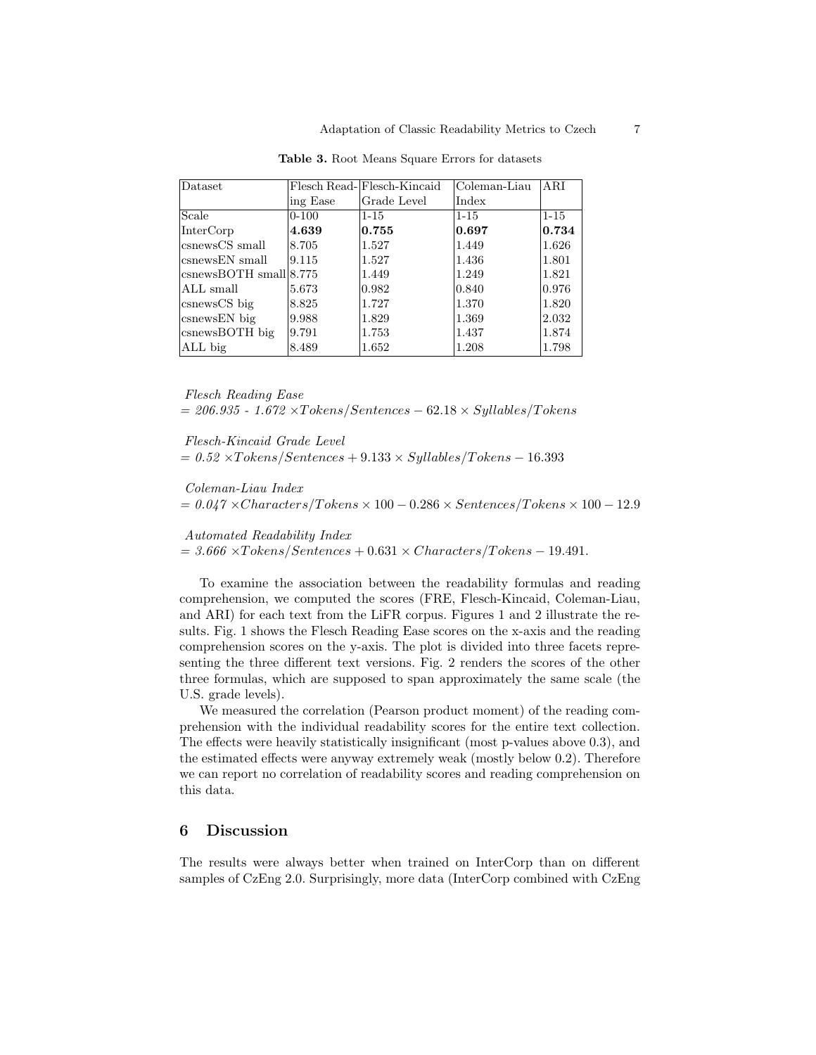| Dataset                                      |           | Flesch Read- Flesch-Kincaid | Coleman-Liau    | ARI      |
|----------------------------------------------|-----------|-----------------------------|-----------------|----------|
|                                              | ing Ease  | Grade Level                 | Index           |          |
| Scale                                        | $0 - 100$ | $1 - 15$                    | $1 - 15$        | $1 - 15$ |
| InterCorp                                    | 4.639     | 0.755                       | 0.697           | 0.734    |
| csnewsCS small                               | 8.705     | 1.527                       | 1.449           | 1.626    |
| csnewsEN small                               | 9.115     | 1.527                       | 1.436           | 1.801    |
| $\cos$ newsBOTH small $\left  8.775 \right $ |           | 1.449                       | 1.249           | 1.821    |
| ALL small                                    | 5.673     | 0.982                       | $ 0.840\rangle$ | 0.976    |
| csnewsCS big                                 | 8.825     | 1.727                       | 1.370           | 1.820    |
| csnews EN big                                | 9.988     | 1.829                       | 1.369           | 2.032    |
| csnewsBOTH big                               | 9.791     | 1.753                       | 1.437           | 1.874    |
| ALL big                                      | 8.489     | 1.652                       | 1.208           | 1.798    |

Table 3. Root Means Square Errors for datasets

Flesch Reading Ease  $= 206.935 - 1.672 \times Tokes/Sentences - 62.18 \times Syllables/Tokes$ 

Flesch-Kincaid Grade Level  $= 0.52 \times Tokes/Sentences + 9.133 \times Syllables/Tokes - 16.393$ 

Coleman-Liau Index

 $= 0.047 \times Charactors / Tokes \times 100 - 0.286 \times Sentences / Tokes \times 100 - 12.9$ 

Automated Readability Index

 $= 3.666 \times Tokes/Sentences + 0.631 \times Characteristics/Tokes - 19.491.$ 

To examine the association between the readability formulas and reading comprehension, we computed the scores (FRE, Flesch-Kincaid, Coleman-Liau, and ARI) for each text from the LiFR corpus. Figures 1 and 2 illustrate the results. Fig. 1 shows the Flesch Reading Ease scores on the x-axis and the reading comprehension scores on the y-axis. The plot is divided into three facets representing the three different text versions. Fig. 2 renders the scores of the other three formulas, which are supposed to span approximately the same scale (the U.S. grade levels).

We measured the correlation (Pearson product moment) of the reading comprehension with the individual readability scores for the entire text collection. The effects were heavily statistically insignificant (most p-values above 0.3), and the estimated effects were anyway extremely weak (mostly below 0.2). Therefore we can report no correlation of readability scores and reading comprehension on this data.

# 6 Discussion

The results were always better when trained on InterCorp than on different samples of CzEng 2.0. Surprisingly, more data (InterCorp combined with CzEng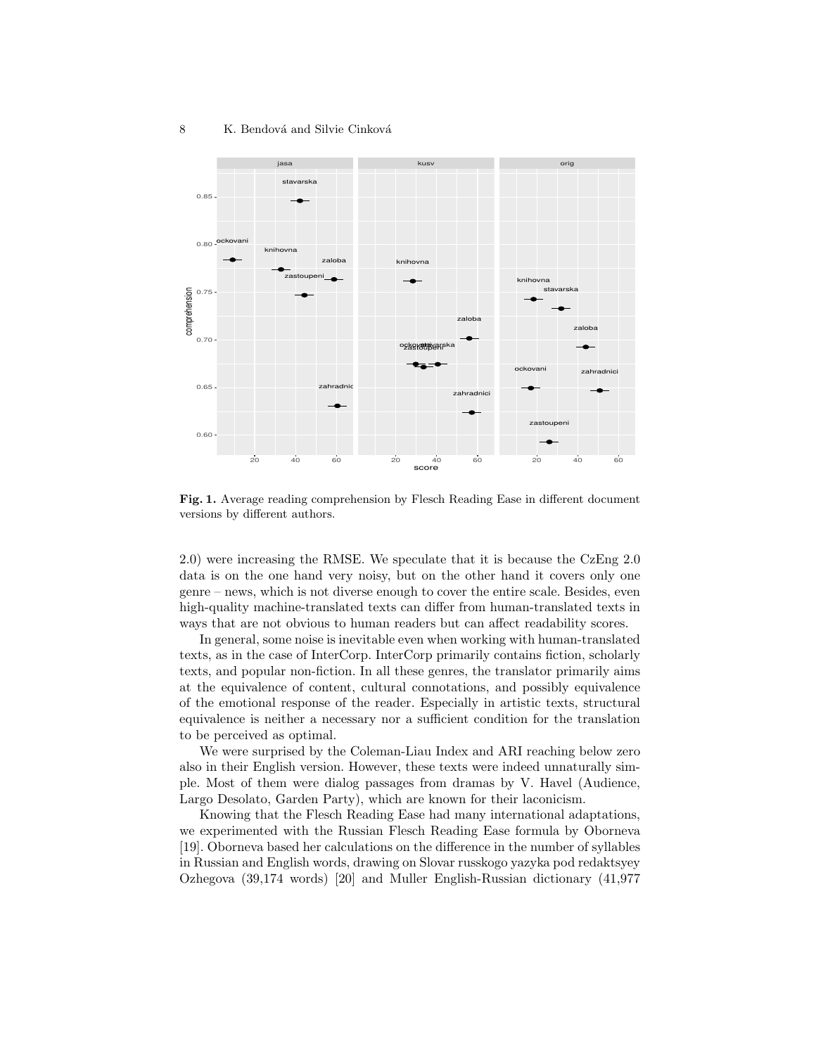

Fig. 1. Average reading comprehension by Flesch Reading Ease in different document versions by different authors.

2.0) were increasing the RMSE. We speculate that it is because the CzEng 2.0 data is on the one hand very noisy, but on the other hand it covers only one genre – news, which is not diverse enough to cover the entire scale. Besides, even high-quality machine-translated texts can differ from human-translated texts in ways that are not obvious to human readers but can affect readability scores.

In general, some noise is inevitable even when working with human-translated texts, as in the case of InterCorp. InterCorp primarily contains fiction, scholarly texts, and popular non-fiction. In all these genres, the translator primarily aims at the equivalence of content, cultural connotations, and possibly equivalence of the emotional response of the reader. Especially in artistic texts, structural equivalence is neither a necessary nor a sufficient condition for the translation to be perceived as optimal.

We were surprised by the Coleman-Liau Index and ARI reaching below zero also in their English version. However, these texts were indeed unnaturally simple. Most of them were dialog passages from dramas by V. Havel (Audience, Largo Desolato, Garden Party), which are known for their laconicism.

Knowing that the Flesch Reading Ease had many international adaptations, we experimented with the Russian Flesch Reading Ease formula by Oborneva [19]. Oborneva based her calculations on the difference in the number of syllables in Russian and English words, drawing on Slovar russkogo yazyka pod redaktsyey Ozhegova (39,174 words) [20] and Muller English-Russian dictionary (41,977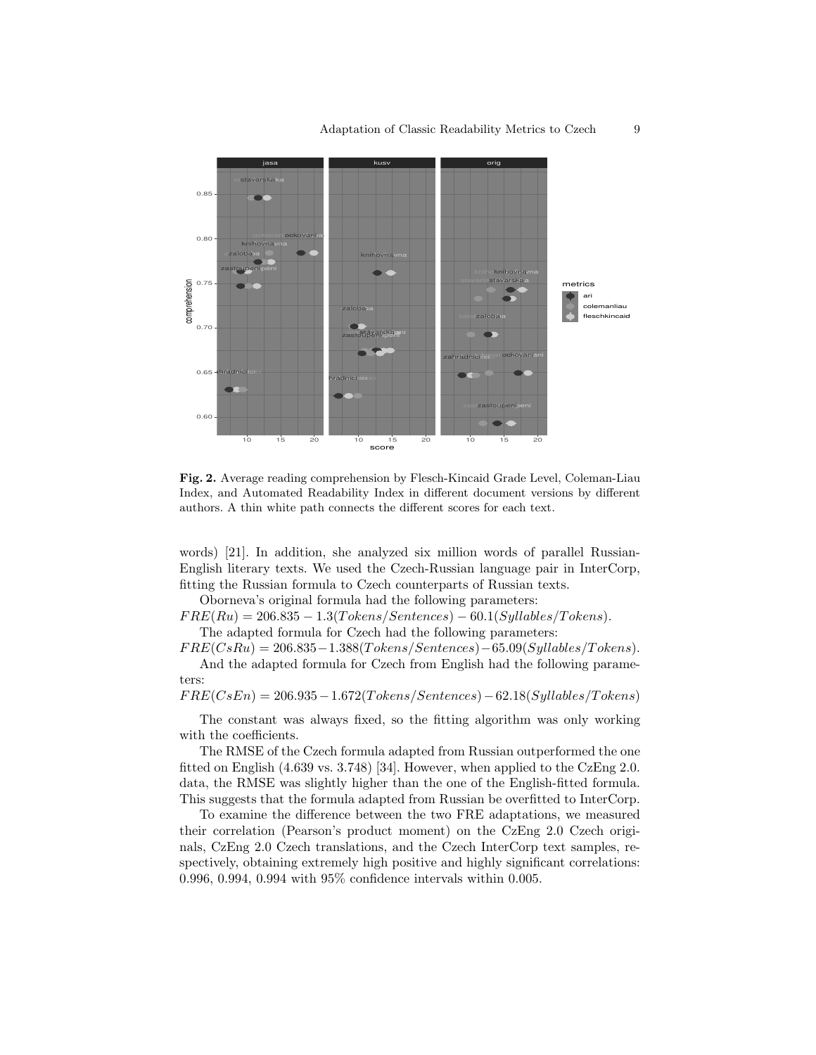

Fig. 2. Average reading comprehension by Flesch-Kincaid Grade Level, Coleman-Liau Index, and Automated Readability Index in different document versions by different authors. A thin white path connects the different scores for each text.

words) [21]. In addition, she analyzed six million words of parallel Russian-English literary texts. We used the Czech-Russian language pair in InterCorp, fitting the Russian formula to Czech counterparts of Russian texts.

Oborneva's original formula had the following parameters:

 $FRE(Ru) = 206.835 - 1.3(Tokens/Sentences) - 60.1(Syllables/Tokens).$ The adapted formula for Czech had the following parameters:

 $FRE(CsRu) = 206.835-1.388(Tokens/Sentences) - 65.09(Syllables/Tokens).$ 

And the adapted formula for Czech from English had the following parameters:

 $FRE(CsEn) = 206.935 - 1.672(Tokens/Sentences) - 62.18(Syllables/Tokens)$ 

The constant was always fixed, so the fitting algorithm was only working with the coefficients.

The RMSE of the Czech formula adapted from Russian outperformed the one fitted on English (4.639 vs. 3.748) [34]. However, when applied to the CzEng 2.0. data, the RMSE was slightly higher than the one of the English-fitted formula. This suggests that the formula adapted from Russian be overfitted to InterCorp.

To examine the difference between the two FRE adaptations, we measured their correlation (Pearson's product moment) on the CzEng 2.0 Czech originals, CzEng 2.0 Czech translations, and the Czech InterCorp text samples, respectively, obtaining extremely high positive and highly significant correlations: 0.996, 0.994, 0.994 with 95% confidence intervals within 0.005.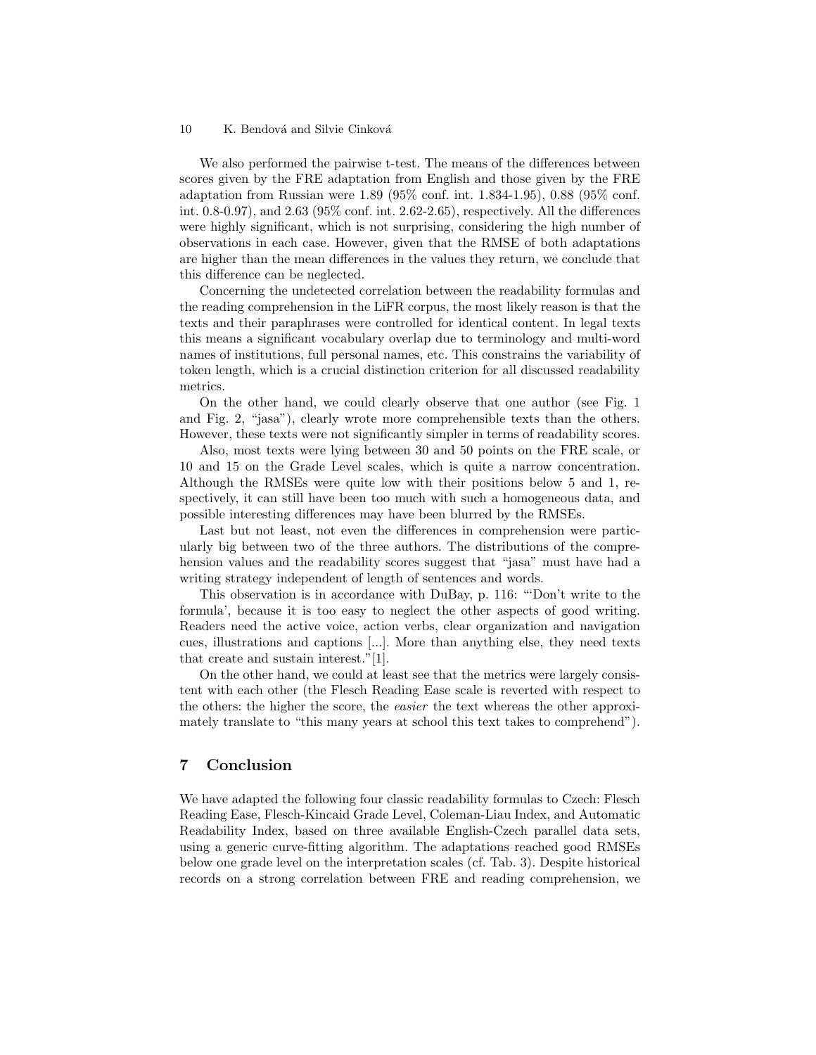We also performed the pairwise t-test. The means of the differences between scores given by the FRE adaptation from English and those given by the FRE adaptation from Russian were 1.89 (95% conf. int. 1.834-1.95), 0.88 (95% conf. int. 0.8-0.97), and 2.63 (95% conf. int. 2.62-2.65), respectively. All the differences were highly significant, which is not surprising, considering the high number of observations in each case. However, given that the RMSE of both adaptations are higher than the mean differences in the values they return, we conclude that this difference can be neglected.

Concerning the undetected correlation between the readability formulas and the reading comprehension in the LiFR corpus, the most likely reason is that the texts and their paraphrases were controlled for identical content. In legal texts this means a significant vocabulary overlap due to terminology and multi-word names of institutions, full personal names, etc. This constrains the variability of token length, which is a crucial distinction criterion for all discussed readability metrics.

On the other hand, we could clearly observe that one author (see Fig. 1 and Fig. 2, "jasa"), clearly wrote more comprehensible texts than the others. However, these texts were not significantly simpler in terms of readability scores.

Also, most texts were lying between 30 and 50 points on the FRE scale, or 10 and 15 on the Grade Level scales, which is quite a narrow concentration. Although the RMSEs were quite low with their positions below 5 and 1, respectively, it can still have been too much with such a homogeneous data, and possible interesting differences may have been blurred by the RMSEs.

Last but not least, not even the differences in comprehension were particularly big between two of the three authors. The distributions of the comprehension values and the readability scores suggest that "jasa" must have had a writing strategy independent of length of sentences and words.

This observation is in accordance with DuBay, p. 116: "'Don't write to the formula', because it is too easy to neglect the other aspects of good writing. Readers need the active voice, action verbs, clear organization and navigation cues, illustrations and captions [...]. More than anything else, they need texts that create and sustain interest."[1].

On the other hand, we could at least see that the metrics were largely consistent with each other (the Flesch Reading Ease scale is reverted with respect to the others: the higher the score, the easier the text whereas the other approximately translate to "this many years at school this text takes to comprehend").

# 7 Conclusion

We have adapted the following four classic readability formulas to Czech: Flesch Reading Ease, Flesch-Kincaid Grade Level, Coleman-Liau Index, and Automatic Readability Index, based on three available English-Czech parallel data sets, using a generic curve-fitting algorithm. The adaptations reached good RMSEs below one grade level on the interpretation scales (cf. Tab. 3). Despite historical records on a strong correlation between FRE and reading comprehension, we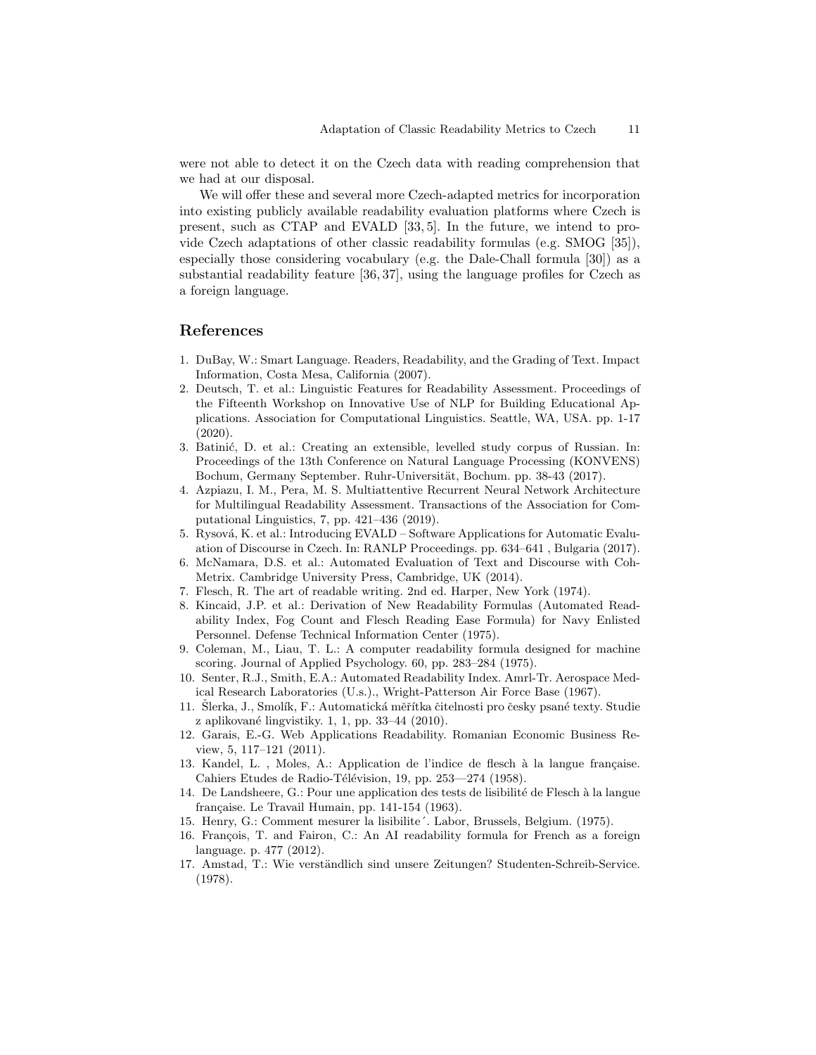were not able to detect it on the Czech data with reading comprehension that we had at our disposal.

We will offer these and several more Czech-adapted metrics for incorporation into existing publicly available readability evaluation platforms where Czech is present, such as CTAP and EVALD [33, 5]. In the future, we intend to provide Czech adaptations of other classic readability formulas (e.g. SMOG [35]), especially those considering vocabulary (e.g. the Dale-Chall formula [30]) as a substantial readability feature [36, 37], using the language profiles for Czech as a foreign language.

# References

- 1. DuBay, W.: Smart Language. Readers, Readability, and the Grading of Text. Impact Information, Costa Mesa, California (2007).
- 2. Deutsch, T. et al.: Linguistic Features for Readability Assessment. Proceedings of the Fifteenth Workshop on Innovative Use of NLP for Building Educational Applications. Association for Computational Linguistics. Seattle, WA, USA. pp. 1-17 (2020).
- 3. Batinić, D. et al.: Creating an extensible, levelled study corpus of Russian. In: Proceedings of the 13th Conference on Natural Language Processing (KONVENS) Bochum, Germany September. Ruhr-Universität, Bochum. pp. 38-43 (2017).
- 4. Azpiazu, I. M., Pera, M. S. Multiattentive Recurrent Neural Network Architecture for Multilingual Readability Assessment. Transactions of the Association for Computational Linguistics, 7, pp. 421–436 (2019).
- 5. Rysová, K. et al.: Introducing EVALD Software Applications for Automatic Evaluation of Discourse in Czech. In: RANLP Proceedings. pp. 634–641 , Bulgaria (2017).
- 6. McNamara, D.S. et al.: Automated Evaluation of Text and Discourse with Coh-Metrix. Cambridge University Press, Cambridge, UK (2014).
- 7. Flesch, R. The art of readable writing. 2nd ed. Harper, New York (1974).
- 8. Kincaid, J.P. et al.: Derivation of New Readability Formulas (Automated Readability Index, Fog Count and Flesch Reading Ease Formula) for Navy Enlisted Personnel. Defense Technical Information Center (1975).
- 9. Coleman, M., Liau, T. L.: A computer readability formula designed for machine scoring. Journal of Applied Psychology. 60, pp. 283–284 (1975).
- 10. Senter, R.J., Smith, E.A.: Automated Readability Index. Amrl-Tr. Aerospace Medical Research Laboratories (U.s.)., Wright-Patterson Air Force Base (1967).
- 11. Slerka, J., Smolík, F.: Automatická měřítka čitelnosti pro česky psané texty. Studie z aplikované lingvistiky. 1, 1, pp.  $33-44$  (2010).
- 12. Garais, E.-G. Web Applications Readability. Romanian Economic Business Review, 5, 117–121 (2011).
- 13. Kandel, L., Moles, A.: Application de l'indice de flesch à la langue française. Cahiers Etudes de Radio-Télévision, 19, pp. 253—274 (1958).
- 14. De Landsheere, G.: Pour une application des tests de lisibilité de Flesch à la langue française. Le Travail Humain, pp. 141-154 (1963).
- 15. Henry, G.: Comment mesurer la lisibilite´. Labor, Brussels, Belgium. (1975).
- 16. François, T. and Fairon, C.: An AI readability formula for French as a foreign language. p. 477 (2012).
- 17. Amstad, T.: Wie verständlich sind unsere Zeitungen? Studenten-Schreib-Service. (1978).